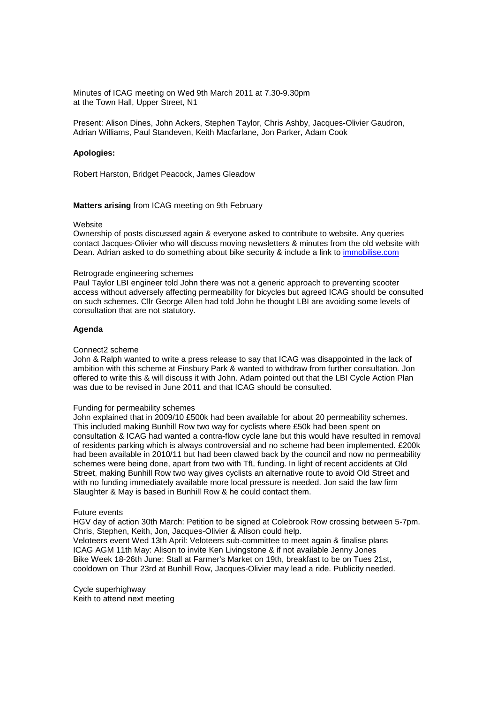Minutes of ICAG meeting on Wed 9th March 2011 at 7.30-9.30pm at the Town Hall, Upper Street, N1

Present: Alison Dines, John Ackers, Stephen Taylor, Chris Ashby, Jacques-Olivier Gaudron, Adrian Williams, Paul Standeven, Keith Macfarlane, Jon Parker, Adam Cook

# **Apologies:**

Robert Harston, Bridget Peacock, James Gleadow

**Matters arising** from ICAG meeting on 9th February

#### Website

Ownership of posts discussed again & everyone asked to contribute to website. Any queries contact Jacques-Olivier who will discuss moving newsletters & minutes from the old website with Dean. Adrian asked to do something about bike security & include a link to immobilise.com

#### Retrograde engineering schemes

Paul Taylor LBI engineer told John there was not a generic approach to preventing scooter access without adversely affecting permeability for bicycles but agreed ICAG should be consulted on such schemes. Cllr George Allen had told John he thought LBI are avoiding some levels of consultation that are not statutory.

## **Agenda**

### Connect2 scheme

John & Ralph wanted to write a press release to say that ICAG was disappointed in the lack of ambition with this scheme at Finsbury Park & wanted to withdraw from further consultation. Jon offered to write this & will discuss it with John. Adam pointed out that the LBI Cycle Action Plan was due to be revised in June 2011 and that ICAG should be consulted.

## Funding for permeability schemes

John explained that in 2009/10 £500k had been available for about 20 permeability schemes. This included making Bunhill Row two way for cyclists where £50k had been spent on consultation & ICAG had wanted a contra-flow cycle lane but this would have resulted in removal of residents parking which is always controversial and no scheme had been implemented. £200k had been available in 2010/11 but had been clawed back by the council and now no permeability schemes were being done, apart from two with TfL funding. In light of recent accidents at Old Street, making Bunhill Row two way gives cyclists an alternative route to avoid Old Street and with no funding immediately available more local pressure is needed. Jon said the law firm Slaughter & May is based in Bunhill Row & he could contact them.

#### Future events

HGV day of action 30th March: Petition to be signed at Colebrook Row crossing between 5-7pm. Chris, Stephen, Keith, Jon, Jacques-Olivier & Alison could help.

Veloteers event Wed 13th April: Veloteers sub-committee to meet again & finalise plans ICAG AGM 11th May: Alison to invite Ken Livingstone & if not available Jenny Jones Bike Week 18-26th June: Stall at Farmer's Market on 19th, breakfast to be on Tues 21st, cooldown on Thur 23rd at Bunhill Row, Jacques-Olivier may lead a ride. Publicity needed.

Cycle superhighway Keith to attend next meeting